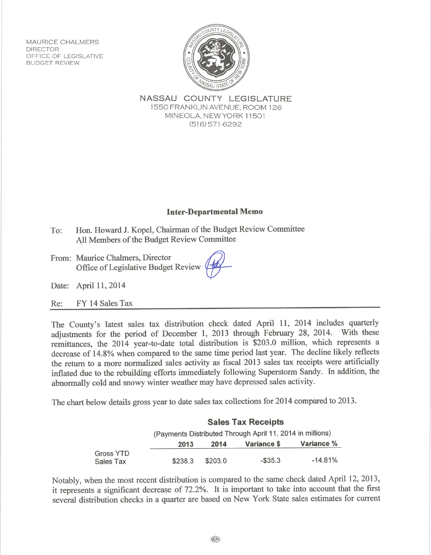**MAURICE CHALMERS DIRECTOR** OFFICE OF LEGISLATIVE **BUDGET REVIEW** 



NASSAU COUNTY LEGISLATURE 1550 FRANKLIN AVENUE, ROOM 126 MINEOLA, NEW YORK 11501  $(516)$  571-6292

## **Inter-Departmental Memo**

- Hon. Howard J. Kopel, Chairman of the Budget Review Committee  $To:$ All Members of the Budget Review Committee
- From: Maurice Chalmers, Director Office of Legislative Budget Review

Date: April 11, 2014

FY 14 Sales Tax  $Re:$ 

The County's latest sales tax distribution check dated April 11, 2014 includes quarterly adjustments for the period of December 1, 2013 through February 28, 2014. With these remittances, the 2014 year-to-date total distribution is \$203.0 million, which represents a decrease of 14.8% when compared to the same time period last year. The decline likely reflects the return to a more normalized sales activity as fiscal 2013 sales tax receipts were artificially inflated due to the rebuilding efforts immediately following Superstorm Sandy. In addition, the abnormally cold and snowy winter weather may have depressed sales activity.

The chart below details gross year to date sales tax collections for 2014 compared to 2013.

|                               | <b>Sales Tax Receipts</b>                                 |         |             |            |
|-------------------------------|-----------------------------------------------------------|---------|-------------|------------|
|                               | (Payments Distributed Through April 11, 2014 in millions) |         |             |            |
|                               | 2013                                                      | 2014    | Variance \$ | Variance % |
| <b>Gross YTD</b><br>Sales Tax | \$238.3                                                   | \$203.0 | $-$ \$35.3  | $-14.81%$  |

Notably, when the most recent distribution is compared to the same check dated April 12, 2013, it represents a significant decrease of 72.2%. It is important to take into account that the first several distribution checks in a quarter are based on New York State sales estimates for current